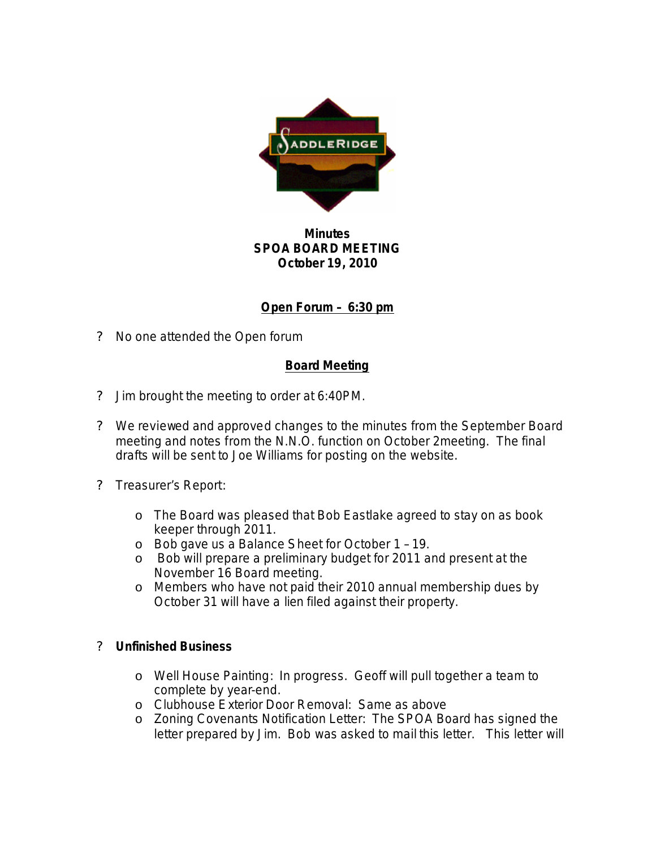

## **Minutes SPOA BOARD MEETING October 19, 2010**

# **Open Forum – 6:30 pm**

? No one attended the Open forum

## **Board Meeting**

- ? Jim brought the meeting to order at 6:40PM.
- ? We reviewed and approved changes to the minutes from the September Board meeting and notes from the N.N.O. function on October 2meeting. The final drafts will be sent to Joe Williams for posting on the website.
- ? Treasurer's Report:
	- o The Board was pleased that Bob Eastlake agreed to stay on as book keeper through 2011.
	- o Bob gave us a Balance Sheet for October 1 19.
	- o Bob will prepare a preliminary budget for 2011 and present at the November 16 Board meeting.
	- o Members who have not paid their 2010 annual membership dues by October 31 will have a lien filed against their property.

#### ? **Unfinished Business**

- o Well House Painting: In progress. Geoff will pull together a team to complete by year-end.
- o Clubhouse Exterior Door Removal: Same as above
- o Zoning Covenants Notification Letter: The SPOA Board has signed the letter prepared by Jim. Bob was asked to mail this letter. This letter will